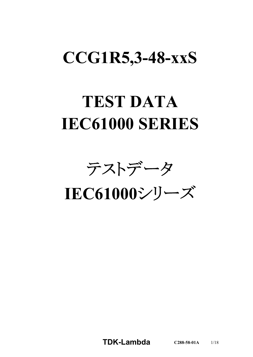# **CCG1R5,3-48-xxS**

# **TEST DATA IEC61000 SERIES**

テストデータ

**IEC61000**シリーズ

**TDK-Lambda C288-58-01A** 1/18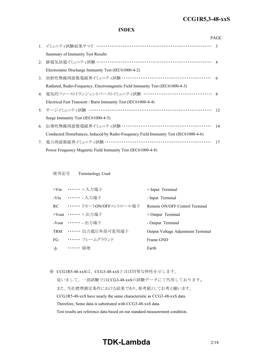#### *RWS 50B-600B Series* **CCG1R5,3-48-xxS**

## **INDEX**

|    |                                                                                       | <b>PAGE</b>   |
|----|---------------------------------------------------------------------------------------|---------------|
|    |                                                                                       | $\mathcal{R}$ |
|    | Summary of Immunity Test Results                                                      |               |
| 2. | 静電気放電イミュニティ試験 …………………………………………………………… 4                                               |               |
|    | Electrostatic Discharge Immunity Test (IEC61000-4-2)                                  |               |
| 3. | 放射性無線周波数電磁界イミュニティ試験 ………………………………………………… 6                                             |               |
|    | Radiated, Radio-Frequency, Electromagnetic Field Immunity Test (IEC61000-4-3)         |               |
|    | 4. 電気的ファーストトランジェントバーストイミュニティ試験 …………………………………… 8                                       |               |
|    | Electrical Fast Transient / Burst Immunity Test (IEC61000-4-4)                        |               |
|    | 5. サージイミュニティ試験 ………………………………………………………………                                               | 12            |
|    | Surge Immunity Test (IEC61000-4-5)                                                    |               |
| 6. | 伝導性無線周波数電磁界イミュニティ試験 ………………………………………………                                                | 14            |
|    | Conducted Disturbances, Induced by Radio-Frequency Field Immunity Test (IEC61000-4-6) |               |
| 7. | 電力周波数磁界イミュニティ試験 ………………………………………………………                                                 | 17            |
|    | Power Frequency Magnetic Field Immunity Test (IEC61000-4-8)                           |               |

使用記号 Terminology Used

|       | +Vin …… + 入力端子                | + Input Terminal                   |
|-------|-------------------------------|------------------------------------|
|       | -Vin ••••••• - 入力端子           | - Input Terminal                   |
|       | RC ••••••• リモートON/OFFコントロール端子 | Remote ON/OFF Control Terminal     |
|       | +Vout …… + 出力端子               | $+$ Output Terminal                |
|       | -Vout ・・・・・・ - 出力端子           | - Output Terminal                  |
|       | TRM ······ 出力電圧外部可変用端子        | Output Voltage Adjustment Terminal |
| FG    | ・・・・・・・ フレームグラウンド             | Frame GND                          |
| $\pm$ | ・・・・・・ 接地                     | Earth                              |

※ CCG1R5-48-xxSは、CCG3-48-xxSとほぼ同等な特性を示します。 従いまして、一部試験ではCCG3-48-xxSの試験データにて代用しております。 また、当社標準測定条件における結果であり、参考値としてお考え願います。 CCG1R5-48-xxS have nearly the same characteristic as CCG3-48-xxS data.

Therefore, Some data is substituted with CCG3-48-xxS data.

Test results are reference data based on our standard measurement condition.

## **TDK-Lambda**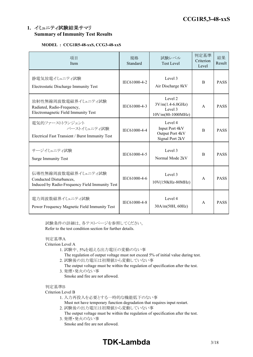## **1.** イミュニティ試験結果サマリ **Summary of Immunity Test Results**

## **MODEL : CCG1R5-48-xxS, CCG3-48-xxS**

| 項目<br>Item                                                                                       | 規格<br>Standard | 試験レベル<br><b>Test Level</b>                                      | 判定基準<br>Criterion<br>Level | 結果<br>Result |
|--------------------------------------------------------------------------------------------------|----------------|-----------------------------------------------------------------|----------------------------|--------------|
| 静電気放電イミュニティ試験<br>Electrostatic Discharge Immunity Test                                           | IEC61000-4-2   | Level 3<br>Air Discharge 8kV                                    | <sub>B</sub>               | <b>PASS</b>  |
| 放射性無線周波数電磁界イミュニティ試験<br>Radiated, Radio-Frequency,<br>Electromagnetic Field Immunity Test         | IEC61000-4-3   | Level 2<br>$3V/m(1.4-6.0GHz)$<br>Level 3<br>$10V/m(80-1000MHz)$ | $\mathsf{A}$               | <b>PASS</b>  |
| 電気的ファーストトランジェント<br>バーストイミュニティ試験<br>Electrical Fast Transient / Burst Immunity Test               | IEC61000-4-4   | Level 4<br>Input Port 4kV<br>Output Port 4kV<br>Signal Port 2kV | $\overline{B}$             | <b>PASS</b>  |
| サージイミュニティ試験<br><b>Surge Immunity Test</b>                                                        | IEC61000-4-5   | Level 3<br>Normal Mode 2kV                                      | B                          | <b>PASS</b>  |
| 伝導性無線周波数電磁界イミュニティ試験<br>Conducted Disturbances,<br>Induced by Radio-Frequency Field Immunity Test | IEC61000-4-6   | Level 3<br>10V(150kHz-80MHz)                                    | $\mathsf{A}$               | <b>PASS</b>  |
| 電力周波数磁界イミュニティ試験<br>Power Frequency Magnetic Field Immunity Test                                  | IEC61000-4-8   | Level 4<br>30A/m(50H, 60Hz)                                     | $\mathsf{A}$               | <b>PASS</b>  |

試験条件の詳細は、各テストページを参照してください。 Refer to the test condition section for further details.

## 判定基準A

Criterion Level A

- 1. 試験中、5%を超える出力電圧の変動のない事
	- The regulation of output voltage must not exceed 5% of initial value during test.
- 2. 試験後の出力電圧は初期値から変動していない事
	- The output voltage must be within the regulation of specification after the test.
- 3. 発煙・発火のない事 Smoke and fire are not allowed.

## 判定基準B

## Criterion Level B

- 1. 入力再投入を必要とする一時的な機能低下のない事
	- Must not have temporary function degradation that requires input restart.
- 2. 試験後の出力電圧は初期値から変動していない事
- The output voltage must be within the regulation of specification after the test. 3. 発煙・発火のない事
	- Smoke and fire are not allowed.

# **TDK-Lambda**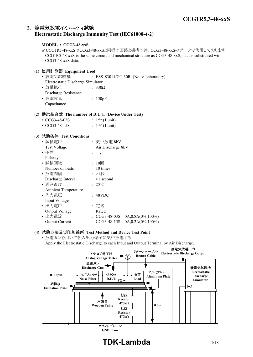## **2.** 静電気放電イミュニティ試験 **Electrostatic Discharge Immunity Test (IEC61000-4-2)**

## **MODEL : CCG3-48-xxS**

※CCG1R5-48-xxSはCCG3-48-xxSと同様の回路と機構の為、CCG3-48-xxSのデータで代用しております CCG1R5-48-xxS is the same circuit and mechanical structure as CCG3-48-xxS, data is substituted with CCG3-48-xxS data.

## **(1)** 使用計測器 **Equipment Used** • 静電気試験機 : ESS-S3011/GT-30R (Noise Laboratory) Electrostatic Discharge Simulator • 放電抵抗 : 330Ω Discharge Resistance • 静電容量 | 150pF

Capacitance

## **(2)** 供試品台数 **The number of D.U.T. (Device Under Test)**

| $\cdot$ CCG3-48-03S | : $1 \oplus (1 \text{ unit})$ |
|---------------------|-------------------------------|
| $\cdot$ CCG3-48-15S | : $1 \oplus (1 \text{ unit})$ |

## **(3)** 試験条件 **Test Conditions**

| • 試験電圧                     | :気中放電 8kV                                          |
|----------------------------|----------------------------------------------------|
| <b>Test Voltage</b>        | Air Discharge 8kV                                  |
| • 極性                       | $: +, -$                                           |
| Polarity                   |                                                    |
| • 試験回数                     | : $10 \Box$                                        |
| Number of Tests            | 10 times                                           |
| • 放電間隔                     | :>1秒                                               |
| Discharge Interval         | $>1$ second                                        |
| • 周囲温度                     | $: 25^{\circ}C$                                    |
| <b>Ambient Temperature</b> |                                                    |
| • 入力電圧                     | : 48VDC                                            |
| Input Voltage              |                                                    |
| ・出力電圧                      | : 定格                                               |
| Output Voltage             | Rated                                              |
| ・出力電流                      | $\therefore$ CCG3-48-03S<br>$0A, 0.8A(0\%, 100\%)$ |
| Output Current             | $0A, 0.2A(0\%, 100\%)$<br>CCG3-48-15S              |
|                            |                                                    |

## **(4)** 試験方法及び印加箇所 **Test Method and Device Test Point**

• 放電ガンを用いて各入出力端子に気中放電する Apply the Electrostatic Discharge to each Input and Output Terminal by Air Discharge.



## **TDK-Lambda** 4/18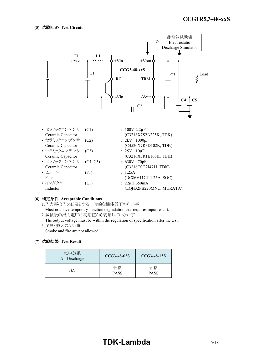

| • セラミックコンデンサ (C1) |          | : $100V 2.2 \mu F$      |
|-------------------|----------|-------------------------|
| Ceramic Capacitor |          | (C3216X7S2A225K, TDK)   |
| • セラミックコンデンサ      | (C2)     | $: 2kV$ 1000pF          |
| Ceramic Capacitor |          | (C4520X7R3D102K, TDK)   |
| • セラミックコンデンサ      | (C3)     | $: 25V$ 10 $\mu$ F      |
| Ceramic Capacitor |          | (C3216X7R1E106K, TDK)   |
| • セラミックコンデンサ      | (C4, C5) | : 630V 470pF            |
| Ceramic Capacitor |          | (C3216C0G2J471J, TDK)   |
| • ヒューズ            | (F1)     | : 1.25A                 |
| Fuse              |          | (DC86V11CT 1.25A, SOC)  |
| • インダクター          | (L1)     | $: 22\mu H 650mA$       |
| Inductor          |          | (LQH32PB220MNC, MURATA) |

#### **(6)** 判定条件 **Acceptable Conditions**

1.入力再投入を必要とする一時的な機能低下のない事 Must not have temporary function degradation that requires input restart. 2.試験後の出力電圧は初期値から変動していない事

The output voltage must be within the regulation of specification after the test. 3.発煙・発火のない事

Smoke and fire are not allowed.

## **(7)** 試験結果 **Test Result**

| 気中放電<br>Air Discharge | CCG3-48-03S       | CCG3-48-15S       |  |
|-----------------------|-------------------|-------------------|--|
| 8kV                   | 合格<br><b>PASS</b> | 合格<br><b>PASS</b> |  |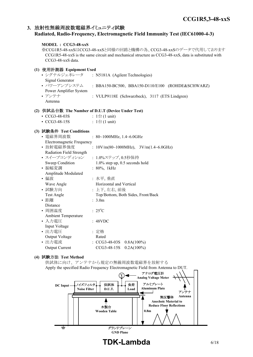## **3.** 放射性無線周波数電磁界イミュニティ試験

## **Radiated, Radio-Frequency, Electromagnetic Field Immunity Test (IEC61000-4-3)**

| MODEL : CCG3-48-xxS                       |                                                   |                                                                                                                                                                       |  |  |  |
|-------------------------------------------|---------------------------------------------------|-----------------------------------------------------------------------------------------------------------------------------------------------------------------------|--|--|--|
| CCG3-48-xxS data.                         |                                                   | ※CCG1R5-48-xxSはCCG3-48-xxSと同様の回路と機構の為、CCG3-48-xxSのデータで代用しております<br>CCG1R5-48-xxS is the same circuit and mechanical structure as CCG3-48-xxS, data is substituted with |  |  |  |
| (1) 使用計測器 Equipment Used                  |                                                   |                                                                                                                                                                       |  |  |  |
| • シグナルジェネレータ                              |                                                   | : N5181A (Agilent Technologies)                                                                                                                                       |  |  |  |
| Signal Generator                          |                                                   |                                                                                                                                                                       |  |  |  |
| • パワーアンプシステム                              |                                                   | : BBA150-BC500, BBA150-D110/E100 (ROHDE&SCHWARZ)                                                                                                                      |  |  |  |
| Power Amplifier System                    |                                                   |                                                                                                                                                                       |  |  |  |
| • アンテナ                                    |                                                   | : VULP9118E (Schwarzbeck), 3117 (ETS Lindgren)                                                                                                                        |  |  |  |
| Antenna                                   |                                                   |                                                                                                                                                                       |  |  |  |
|                                           | (2) 供試品台数 The Number of D.U.T (Device Under Test) |                                                                                                                                                                       |  |  |  |
| $\cdot$ CCG3-48-03S                       |                                                   | : $1 \oplus (1 \text{ unit})$                                                                                                                                         |  |  |  |
| $\cdot$ CCG3-48-15S                       |                                                   | : $1 \oplus (1 \text{ unit})$                                                                                                                                         |  |  |  |
|                                           |                                                   |                                                                                                                                                                       |  |  |  |
| (3) 試験条件 Test Conditions                  |                                                   |                                                                                                                                                                       |  |  |  |
| • 電磁界周波数                                  |                                                   | : $80~1000$ MHz, $1.4~6.0$ GHz                                                                                                                                        |  |  |  |
| Electromagnetic Frequency                 |                                                   |                                                                                                                                                                       |  |  |  |
| • 放射電磁界強度                                 |                                                   | : $10 \text{V/m}(80 \text{~} 1000 \text{MHz})$ , $3 \text{V/m}(1.4 \text{~} 6.0 \text{GHz})$                                                                          |  |  |  |
| Radiation Field Strength<br>• スイープコンディション |                                                   | : 1.0%ステップ, 0.5秒保持                                                                                                                                                    |  |  |  |
| Sweep Condition                           |                                                   | $1.0\%$ step up, 0.5 seconds hold                                                                                                                                     |  |  |  |
| • 振幅変調                                    |                                                   | $: 80\%, 1kHz$                                                                                                                                                        |  |  |  |
| Amplitude Modulated                       |                                                   |                                                                                                                                                                       |  |  |  |
| • 偏波                                      |                                                   | : 水平, 垂直                                                                                                                                                              |  |  |  |
| Wave Angle                                |                                                   | Horizontal and Vertical                                                                                                                                               |  |  |  |
| • 試験方向                                    |                                                   | : 上下, 左右, 前後                                                                                                                                                          |  |  |  |
| Test Angle                                |                                                   | Top/Bottom, Both Sides, Front/Back                                                                                                                                    |  |  |  |
| • 距離                                      |                                                   | : 3.0m                                                                                                                                                                |  |  |  |
| Distance                                  |                                                   |                                                                                                                                                                       |  |  |  |
| • 周囲温度                                    |                                                   | $: 25^{\circ}C$                                                                                                                                                       |  |  |  |
| <b>Ambient Temperature</b>                |                                                   |                                                                                                                                                                       |  |  |  |
| • 入力電圧                                    |                                                   | : 48VDC                                                                                                                                                               |  |  |  |
| Input Voltage                             |                                                   |                                                                                                                                                                       |  |  |  |
| • 出力電圧                                    |                                                   | : 定格                                                                                                                                                                  |  |  |  |
| Output Voltage                            |                                                   | Rated                                                                                                                                                                 |  |  |  |
| • 出力電流                                    |                                                   | : $CCG3-48-03S$ $0.8A(100\%)$                                                                                                                                         |  |  |  |

#### **(4)** 試験方法 **Test Method**

供試体に向け、アンテナから規定の無線周波数電磁界を放射する Apply the specified Radio Frequency Electromagnetic Field from Antenna to DUT.

Output Current CCG3-48-15S 0.2A(100%)

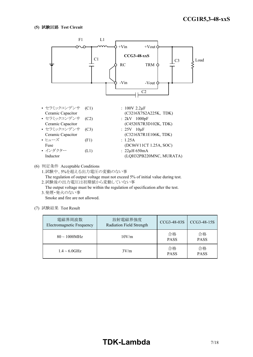

(6) 判定条件 Acceptable Conditions

1.試験中、5%を超える出力電圧の変動のない事 The regulation of output voltage must not exceed 5% of initial value during test.

- 2.試験後の出力電圧は初期値から変動していない事 The output voltage must be within the regulation of specification after the test.
- 3.発煙・発火のない事 Smoke and fire are not allowed.
- (7) 試験結果 Test Result

| 電磁界周波数<br>Electromagnetic Frequency | 放射電磁界強度<br>Radiation Field Strength | CCG3-48-03S       | $CCG3-48-15S$     |
|-------------------------------------|-------------------------------------|-------------------|-------------------|
| $80 \sim 1000 MHz$                  | 10V/m                               | 合格<br><b>PASS</b> | 合格<br><b>PASS</b> |
| $1.4 \sim 6.0$ GHz                  | 3V/m                                | 合格<br><b>PASS</b> | 合格<br><b>PASS</b> |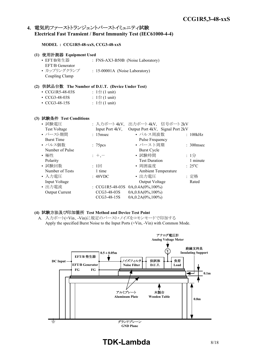## **4.** 電気的ファーストトランジェントバーストイミュニティ試験 **Electrical Fast Transient / Burst Immunity Test (IEC61000-4-4)**

#### **MODEL : CCG1R5-48-xxS, CCG3-48-xxS**

| (1) 使用計測器 Equipment Used |                                   |
|--------------------------|-----------------------------------|
| • EFT/B発生器               | : FNS-AX3-B50B (Noise Laboratory) |
| EFT/B Generator          |                                   |
| • カップリングクランプ             | : 15-00001A (Noise Laboratory)    |
| Coupling Clamp           |                                   |
|                          |                                   |

## **(2)** 供試品台数 **The Number of D.U.T. (Device Under Test)**

- $CCG1R5-48-03S$  :  $1 \oplus (1 \text{ unit})$
- CCG3-48-03S :  $1 \oplus (1 \text{ unit})$
- CCG3-48-15S :  $1 \oplus (1 \text{ unit})$

## **(3)** 試験条件 **Test Conditions**

| • 試験電圧              | : 入力ポート4kV,           | 出力ポート4kV, 信号ポート2kV               |                 |
|---------------------|-----------------------|----------------------------------|-----------------|
| <b>Test Voltage</b> | Input Port 4kV,       | Output Port 4kV, Signal Port 2kV |                 |
| • バースト期間            | $: 15$ msec           | • パルス周波数                         | : 100kHz        |
| <b>Burst Time</b>   |                       | Pulse Frequency                  |                 |
| • パルス個数             | : 75 <sub>pres</sub>  | • バースト周期                         | $: 300$ msec    |
| Number of Pulse     |                       | <b>Burst Cycle</b>               |                 |
| • 極性                | $: +,-$               | • 試験時間                           | : 1分            |
| Polarity            |                       | <b>Test Duration</b>             | 1 minute        |
| • 試験回数              | $: 1 \square$         | • 周囲温度                           | $: 25^{\circ}C$ |
| Number of Tests     | 1 time                | <b>Ambient Temperature</b>       |                 |
| • 入力電圧              | : 48VDC               | • 出力電圧                           | : 定格            |
| Input Voltage       |                       | Output Voltage                   | Rated           |
| • 出力電流              | $\cdot$ CCG1R5-48-03S | $0A, 0.4A(0\%, 100\%)$           |                 |
| Output Current      | $CCG3-48-03S$         | $0A, 0.8A(0\%, 100\%)$           |                 |
|                     | CCG3-48-15S           | $0A, 0.2A(0\%, 100\%)$           |                 |

## **(4)** 試験方法及び印加箇所 **Test Method and Device Test Point**

A. 入力ポート(+Vin、-Vin)に規定のバースト・ノイズをコモンモードで印加する Apply the specified Burst Noise to the Input Ports (+Vin, -Vin) with Common Mode.



**TDK-Lambda** 8/18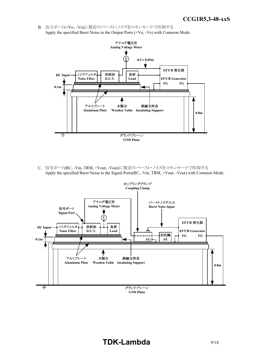B. 出力ポート(+Vo、-Vo)に規定のバースト・ノイズをコモンモードで印加する Apply the specified Burst Noise to the Output Ports (+Vo, -Vo) with Common Mode.



C. 信号ポート(RC, -Vin, TRM, +Vout, -Vout)に規定のバースト・ノイズをコモンモードで印加する Apply the specified Burst Noise to the Signal Ports(RC, -Vin, TRM, +Vout, -Vout) with Common Mode.



# **TDK-Lambda** 9/18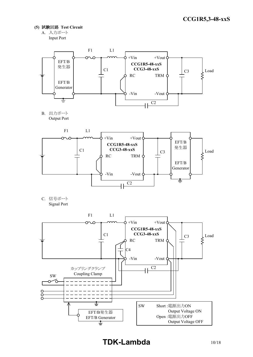- **(5)** 試験回路 **Test Circuit**
	- A. 入力ポート Input Port



B. 出力ポート Output Port



C. 信号ポート Signal Port

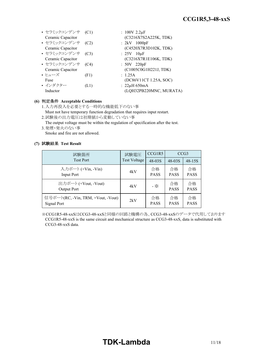#### *RWS 50B-600B Series* **CCG1R5,3-48-xxS**

| • セラミックコンデンサ (C1) |      | : $100V 2.2 \mu F$      |
|-------------------|------|-------------------------|
| Ceramic Capacitor |      | (C3216X7S2A225K, TDK)   |
| • セラミックコンデンサ      | (C2) | $: 2kV$ 1000pF          |
| Ceramic Capacitor |      | (C4520X7R3D102K, TDK)   |
| • セラミックコンデンサ      | (C3) | $: 25V$ 10 $\mu$ F      |
| Ceramic Capacitor |      | (C3216X7R1E106K, TDK)   |
| • セラミックコンデンサ      | (C4) | $: 50V$ 220pF           |
| Ceramic Capacitor |      | (C1005C0G1H221J, TDK)   |
| • ヒューズ            | (F1) | : 1.25A                 |
| Fuse              |      | (DC86V11CT 1.25A, SOC)  |
| • インダクター          | (L1) | $: 22\mu H 650mA$       |
| Inductor          |      | (LQH32PB220MNC, MURATA) |
|                   |      |                         |

## **(6)** 判定条件 **Acceptable Conditions**

- 1.入力再投入を必要とする一時的な機能低下のない事 Must not have temporary function degradation that requires input restart.
- 2.試験後の出力電圧は初期値から変動していない事 The output voltage must be within the regulation of specification after the test.
- 3.発煙・発火のない事 Smoke and fire are not allowed.

## **(7)** 試験結果 **Test Result**

| 試験箇所                                              | 試験電圧                | CCG1R5            | CCG <sub>3</sub>  |                   |
|---------------------------------------------------|---------------------|-------------------|-------------------|-------------------|
| <b>Test Port</b>                                  | <b>Test Voltage</b> | 48-03S            | 48-03S            | 48-15S            |
| 入力ポート (+Vin, -Vin)<br>Input Port                  | 4kV                 | 合格<br><b>PASS</b> | 合格<br><b>PASS</b> | 合格<br><b>PASS</b> |
| 出力ポート (+Vout, -Vout)<br>Output Port               | 4kV                 | - ※               | 合格<br><b>PASS</b> | 合格<br><b>PASS</b> |
| 信号ポート(RC, -Vin, TRM, +Vout, -Vout)<br>Signal Port | 2kV                 | 合格<br><b>PASS</b> | 合格<br><b>PASS</b> | 合格<br><b>PASS</b> |

※CCG1R5-48-xxSはCCG3-48-xxSと同様の回路と機構の為、CCG3-48-xxSのデータで代用しております CCG1R5-48-xxS is the same circuit and mechanical structure as CCG3-48-xxS, data is substituted with CCG3-48-xxS data.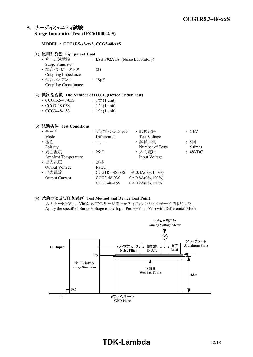## **5.** サージイミュニティ試験 **Surge Immunity Test (IEC61000-4-5)**

## **MODEL : CCG1R5-48-xxS, CCG3-48-xxS**

| (1) 使用計測器 Equipment Used |                                 |
|--------------------------|---------------------------------|
| • サージ試験機                 | : LSS-F02A1A (Noise Laboratory) |
| Surge Simulator          |                                 |
| • 結合インピーダンス              | $\cdot$ 2.0                     |
| Coupling Impedance       |                                 |
| • 結合コンデンサ                | : $18\mu$ F                     |
| Coupling Capacitance     |                                 |
|                          |                                 |

#### **(2)** 供試品台数 **The Number of D.U.T.(Device Under Test)**

|  | $\cdot$ CCG1R5-48-03S | : $1 \oplus (1 \text{ unit})$ |
|--|-----------------------|-------------------------------|
|--|-----------------------|-------------------------------|

- $CCG3-48-03S$  :  $1 \oplus (1 \text{ unit})$
- CCG3-48-15S :  $1 \oplus (1 \text{ unit})$

### **(3)** 試験条件 **Test Conditions**

| • モード                 | : ディファレンシャル                | • 試験電圧                 | $: 2$ kV |
|-----------------------|----------------------------|------------------------|----------|
| Mode                  | Differential               | <b>Test Voltage</b>    |          |
| • 極性                  | $: +, -$                   | • 試験回数                 | : 5回     |
| Polarity              |                            | Number of Tests        | 5 times  |
| • 周囲温度                | $: 25^{\circ}C$            | • 入力電圧                 | : 48VDC  |
| Ambient Temperature   |                            | Input Voltage          |          |
| • 出力電圧                | : 定格                       |                        |          |
| Output Voltage        | Rated                      |                        |          |
| • 出力電流                | $\therefore$ CCG1R5-48-03S | $0A, 0.4A(0\%, 100\%)$ |          |
| <b>Output Current</b> | CCG3-48-03S                | $0A, 0.8A(0\%, 100\%)$ |          |
|                       | CCG3-48-15S                | $0A, 0.2A(0\%, 100\%)$ |          |

## **(4)** 試験方法及び印加箇所 **Test Method and Device Test Point**

入力ポート(+Vin、-Vin)に規定のサージ電圧をディファレンシャルモードで印加する Apply the specified Surge Voltage to the Input Ports(+Vin, -Vin) with Differential Mode.

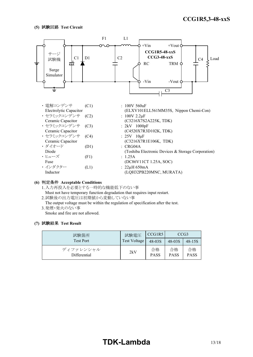

## **(6)** 判定条件 **Acceptable Conditions**

1.入力再投入を必要とする一時的な機能低下のない事 Must not have temporary function degradation that requires input restart. 2.試験後の出力電圧は初期値から変動していない事

The output voltage must be within the regulation of specification after the test.

3.発煙・発火のない事 Smoke and fire are not allowed.

## **(7)** 試験結果 **Test Result**

| 試験箇所<br><b>Test Port</b>  | 試験電圧         | CCG1R5            | CCG <sub>3</sub>  |                   |
|---------------------------|--------------|-------------------|-------------------|-------------------|
|                           | Test Voltage | 48-03S            | 48-03S            | 48-15S            |
| ディファレンシャル<br>Differential | 2kV          | 合格<br><b>PASS</b> | 合格<br><b>PASS</b> | 合格<br><b>PASS</b> |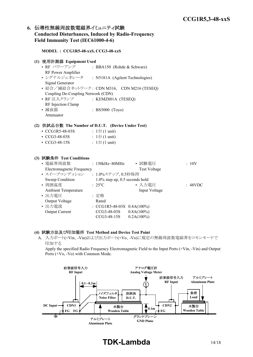## **6.** 伝導性無線周波数電磁界イミュニティ試験 **Conducted Disturbances, Induced by Radio-Frequency Field Immunity Test (IEC61000-4-6)**

## **MODEL : CCG1R5-48-xxS, CCG3-48-xxS**

## **(1)** 使用計測器 **Equipment Used**

• RF パワーアンプ : BBA150 (Rohde & Schwarz) RF Power Amplifier • シグナルジェネレータ : N5181A (Agilent Technologies) Signal Generator • 結合/減結合ネットワーク: CDN M316, CDN M216 (TESEQ) Coupling De-Coupling Network (CDN) • RF 注入クランプ : KEMZ801A (TESEQ) RF Injection Clamp • 減衰器 : BS5000 (Toyo) Attenuator

## **(2)** 供試品台数 **The Number of D.U.T. (Device Under Test)**

| • $CCG1R5-48-03S$   | : $1 \oplus (1 \text{ unit})$ |
|---------------------|-------------------------------|
| $\cdot$ CCG3-48-03S | : $1 \oplus (1 \text{ unit})$ |
| $\cdot$ CCG3-48-15S | : $1 \oplus (1 \text{ unit})$ |

## **(3)** 試験条件 **Test Conditions**

| • 電磁界周波数                   | $: 150kHz \sim 80MHz$             | • 試験電圧              | :10V    |
|----------------------------|-----------------------------------|---------------------|---------|
| Electromagnetic Frequency  |                                   | <b>Test Voltage</b> |         |
| • スイープコンディション              | : 1.0%ステップ, 0.5秒保持                |                     |         |
| Sweep Condition            | $1.0\%$ step up, 0.5 seconds hold |                     |         |
| • 周囲温度                     | $: 25^{\circ}C$                   | ・入力電圧               | : 48VDC |
| <b>Ambient Temperature</b> |                                   | Input Voltage       |         |
| • 出力電圧                     | : 定格                              |                     |         |
| Output Voltage             | Rated                             |                     |         |
| • 出力電流                     | $\therefore$ CCG1R5-48-03S        | $0.4A(100\%)$       |         |
| <b>Output Current</b>      | $CCG3-48-03S$                     | $0.8A(100\%)$       |         |
|                            | CCG3-48-15S                       | $0.2A(100\%)$       |         |

## **(4)** 試験方法及び印加箇所 **Test Method and Device Test Point**

A. 入力ポート(+Vin、-Vin)および出力ポート(+Vo、-Vo)に規定の無線周波数電磁界をコモンモードで 印加する

Apply the specified Radio Frequency Electromagnetic Field to the Input Ports (+Vin, -Vin) and Output Ports (+Vo, -Vo) with Common Mode.



# **TDK-Lambda** 14/18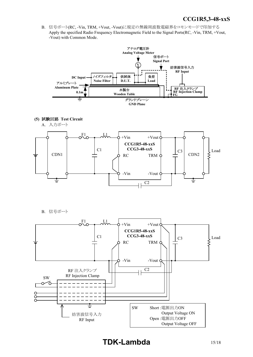*INSTRUCTION MANUAL* B. 信号ポート(RC, -Vin, TRM, +Vout, -Vout)に規定の無線周波数電磁界をコモンモードで印加する Apply the specified Radio Frequency Electromagnetic Field to the Signal Ports(RC, -Vin, TRM, +Vout, -Vout) with Common Mode.



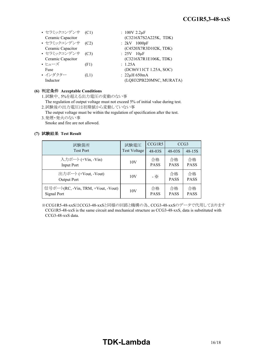#### *RWS 50B-600B Series* **CCG1R5,3-48-xxS**

| • セラミックコンデンサ (C1) |      | : $100V 2.2 \mu F$      |
|-------------------|------|-------------------------|
| Ceramic Capacitor |      | (C3216X7S2A225K, TDK)   |
| • セラミックコンデンサ (C2) |      | $: 2kV$ 1000pF          |
| Ceramic Capacitor |      | (C4520X7R3D102K, TDK)   |
| • セラミックコンデンサ      | (C3) | $: 25V$ 10 $\mu$ F      |
| Ceramic Capacitor |      | (C3216X7R1E106K, TDK)   |
| • ヒューズ            | (F1) | : 1.25A                 |
| Fuse              |      | (DC86V11CT 1.25A, SOC)  |
| • インダクター          | (L1) | $: 22\mu H 650mA$       |
| Inductor          |      | (LQH32PB220MNC, MURATA) |

## **(6)** 判定条件 **Acceptable Conditions**

1.試験中、5%を超える出力電圧の変動のない事 The regulation of output voltage must not exceed 5% of initial value during test.

- 2.試験後の出力電圧は初期値から変動していない事
- The output voltage must be within the regulation of specification after the test. 3.発煙・発火のない事

Smoke and fire are not allowed.

## **(7)** 試験結果 **Test Result**

| 試験箇所                                              | 試験電圧                | CCG1R5            | CCG <sub>3</sub>  |                   |
|---------------------------------------------------|---------------------|-------------------|-------------------|-------------------|
| <b>Test Port</b>                                  | <b>Test Voltage</b> | 48-03S            | 48-03S            | 48-15S            |
| 入力ポート (+Vin, -Vin)<br><b>Input Port</b>           | 10V                 | 合格<br><b>PASS</b> | 合格<br><b>PASS</b> | 合格<br><b>PASS</b> |
| 出力ポート (+Vout, -Vout)<br><b>Output Port</b>        | 10V                 | - ※               | 合格<br><b>PASS</b> | 合格<br><b>PASS</b> |
| 信号ポート(RC, -Vin, TRM, +Vout, -Vout)<br>Signal Port | 10V                 | 合格<br><b>PASS</b> | 合格<br><b>PASS</b> | 合格<br><b>PASS</b> |

 ※CCG1R5-48-xxSはCCG3-48-xxSと同様の回路と機構の為、CCG3-48-xxSのデータで代用しております CCG1R5-48-xxS is the same circuit and mechanical structure as CCG3-48-xxS, data is substituted with CCG3-48-xxS data.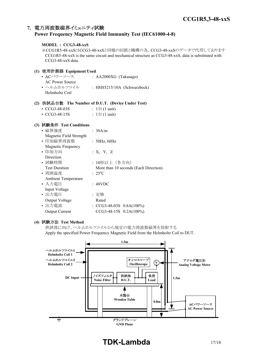## **7.** 電力周波数磁界イミュニティ試験

## **Power Frequency Magnetic Field Immunity Test (IEC61000-4-8)**

## **MODEL : CCG3-48-xxS**

※CCG1R5-48-xxSはCCG3-48-xxSと同様の回路と機構の為、CCG3-48-xxSのデータで代用しております CCG1R5-48-xxS is the same circuit and mechanical structure as CCG3-48-xxS, data is substituted with CCG3-48-xxS data.

## **(1)** 使用計測器 **Equipment Used** • ACパワーソース : AA2000XG (Takasago) AC Power Source • ヘルムホルツコイル : HHS5215/10A (Schwarzbeck) Helmholtz Coil

## **(2)** 供試品台数 **The Number of D.U.T. (Device Under Test)**

| • $CCG3-48-03S$ | : $1 \oplus (1 \text{ unit})$ |
|-----------------|-------------------------------|
|-----------------|-------------------------------|

• CCG3-48-15S :  $1 \oplus (1 \text{ unit})$ 

### **(3)** 試験条件 **Test Conditions**

| • 磁界強度                     | : 30A/m                               |
|----------------------------|---------------------------------------|
| Magnetic Field Strength    |                                       |
| • 印加磁界周波数                  | : 50Hz, 60Hz                          |
| Magnetic Frequency         |                                       |
| • 印加方向                     | : X, Y, Z                             |
| Direction                  |                                       |
| • 試験時間                     | :10秒以上(各方向)                           |
| <b>Test Duration</b>       | More than 10 seconds (Each Direction) |
| • 周囲温度                     | $: 25^{\circ}C$                       |
| <b>Ambient Temperature</b> |                                       |
| • 入力電圧                     | : 48VDC                               |
| Input Voltage              |                                       |
| • 出力電圧                     | : 定格                                  |
| Output Voltage             | Rated                                 |
| • 出力電流                     | : $CCG3-48-03S$ $0.8A(100\%)$         |
| Output Current             | CCG3-48-15S 0.2A(100%)                |
|                            |                                       |

## **(4)** 試験方法 **Test Method**

供試体に向け、ヘルムホルツコイルから規定の電力周波数磁界を放射する Apply the specified Power Frequency Magnetic Field from the Helmholtz Coil to DUT.